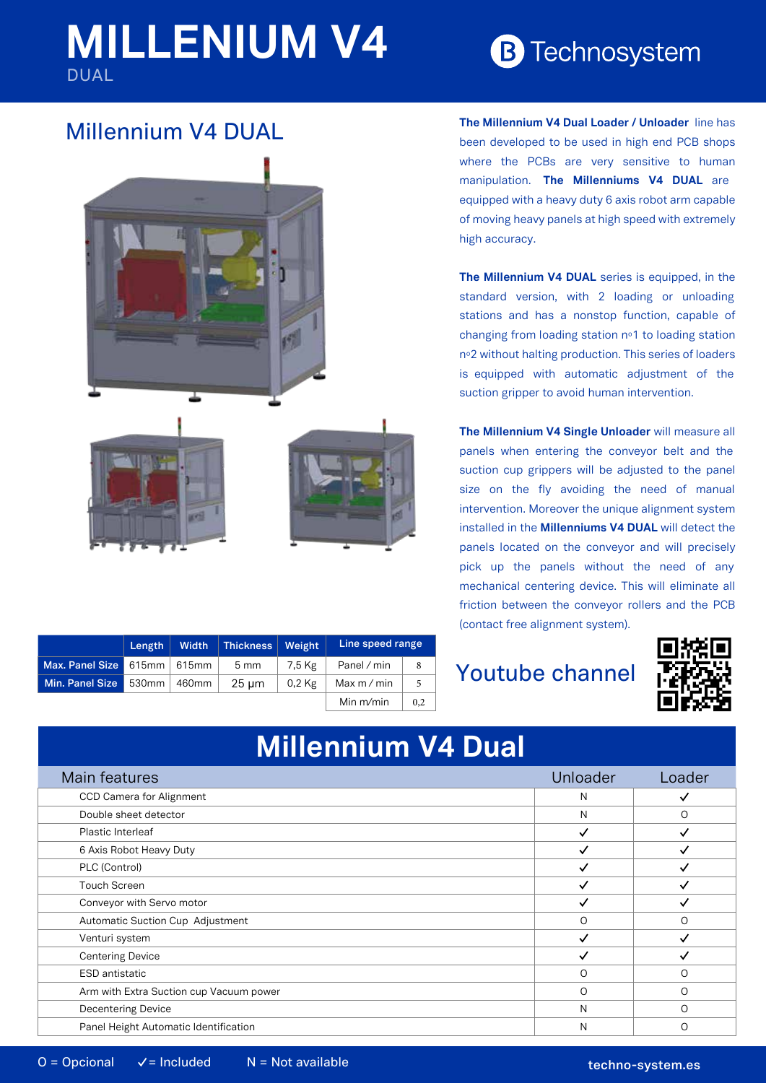# **MILLENIUM V4** DUAL

**B** Technosystem

### Millennium V4 DUAL



**Length Width Thickness Weight Line speed range Max. Panel Size** 615mm 615mm 5 mm 7,5 Kg Panel / min 8 **Min. Panel Size** 530mm 460mm 25 um 0,2 Kg Max m / min 5 Min m/min  $\Big|$  0,2 **The Millennium V4 Dual Loader / Unloader** line has been developed to be used in high end PCB shops where the PCBs are very sensitive to human manipulation. **The Millenniums V4 DUAL** are equipped with a heavy duty 6 axis robot arm capable of moving heavy panels at high speed with extremely high accuracy.

**The Millennium V4 DUAL** series is equipped, in the standard version, with 2 loading or unloading stations and has a nonstop function, capable of changing from loading station nº1 to loading station nº2 without halting production. This series of loaders is equipped with automatic adjustment of the suction gripper to avoid human intervention.

**The Millennium V4 Single Unloader** will measure all panels when entering the conveyor belt and the suction cup grippers will be adjusted to the panel size on the fly avoiding the need of manual intervention. Moreover the unique alignment system installed in the **Millenniums V4 DUAL** will detect the panels located on the conveyor and will precisely pick up the panels without the need of any mechanical centering device. This will eliminate all friction between the conveyor rollers and the PCB (contact free alignment system).

## Youtube channel



# **Millennium V4 Dual**

| Main features                           | Unloader     | Loader   |
|-----------------------------------------|--------------|----------|
| CCD Camera for Alignment                | N            |          |
| Double sheet detector                   | N            | ∩        |
| Plastic Interleaf                       | $\checkmark$ |          |
| 6 Axis Robot Heavy Duty                 | ✓            |          |
| PLC (Control)                           | ✓            |          |
| <b>Touch Screen</b>                     |              |          |
| Conveyor with Servo motor               | ✓            |          |
| Automatic Suction Cup Adjustment        | $\circ$      | ∩        |
| Venturi system                          | $\checkmark$ |          |
| <b>Centering Device</b>                 | ✓            |          |
| <b>ESD</b> antistatic                   | O            | O        |
| Arm with Extra Suction cup Vacuum power | $\circ$      | $\Omega$ |
| <b>Decentering Device</b>               | N            | $\Omega$ |
| Panel Height Automatic Identification   | N            |          |